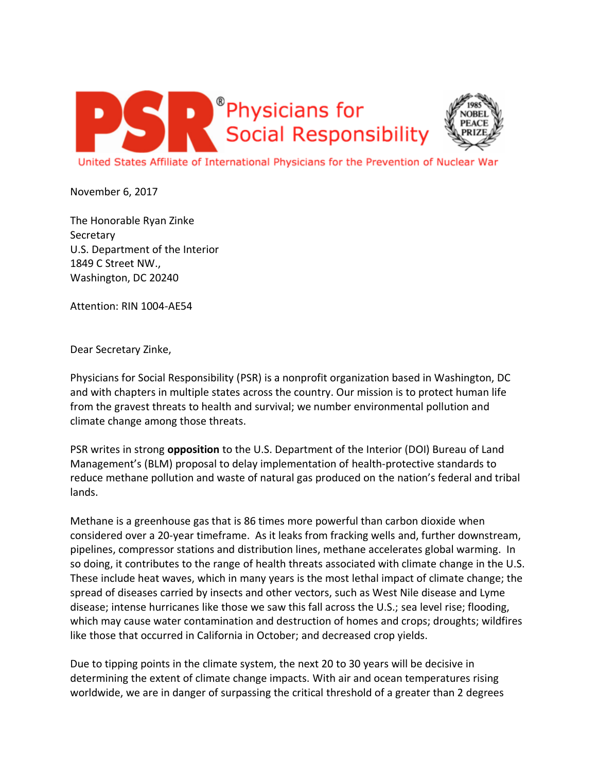



United States Affiliate of International Physicians for the Prevention of Nuclear

November 6, 2017

The Honorable Ryan Zinke Secretary U.S. Department of the Interior 1849 C Street NW., Washington, DC 20240

Attention: RIN 1004-AE54

Dear Secretary Zinke,

Physicians for Social Responsibility (PSR) is a nonprofit organization based in Washington, DC and with chapters in multiple states across the country. Our mission is to protect human life from the gravest threats to health and survival; we number environmental pollution and climate change among those threats.

PSR writes in strong **opposition** to the U.S. Department of the Interior (DOI) Bureau of Land Management's (BLM) proposal to delay implementation of health-protective standards to reduce methane pollution and waste of natural gas produced on the nation's federal and tribal lands.

Methane is a greenhouse gas that is 86 times more powerful than carbon dioxide when considered over a 20-year timeframe. As it leaks from fracking wells and, further downstream, pipelines, compressor stations and distribution lines, methane accelerates global warming. In so doing, it contributes to the range of health threats associated with climate change in the U.S. These include heat waves, which in many years is the most lethal impact of climate change; the spread of diseases carried by insects and other vectors, such as West Nile disease and Lyme disease; intense hurricanes like those we saw this fall across the U.S.; sea level rise; flooding, which may cause water contamination and destruction of homes and crops; droughts; wildfires like those that occurred in California in October; and decreased crop yields.

Due to tipping points in the climate system, the next 20 to 30 years will be decisive in determining the extent of climate change impacts. With air and ocean temperatures rising worldwide, we are in danger of surpassing the critical threshold of a greater than 2 degrees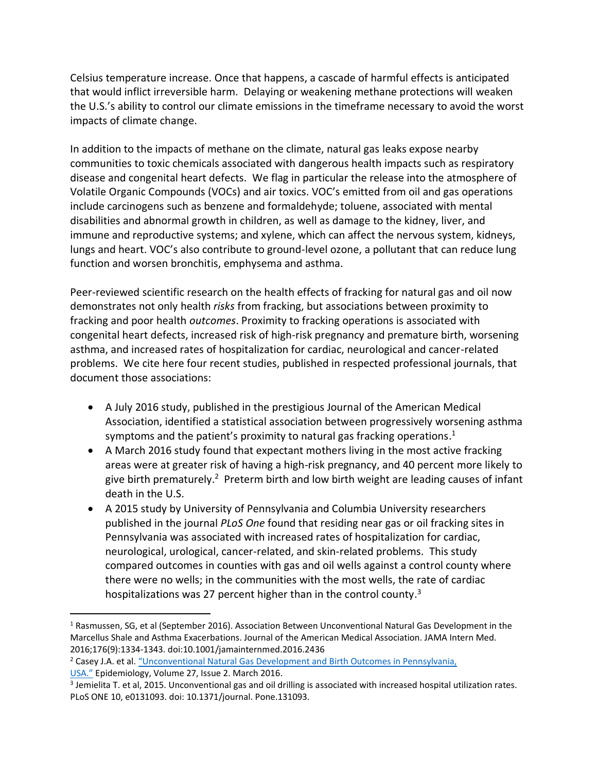Celsius temperature increase. Once that happens, a cascade of harmful effects is anticipated that would inflict irreversible harm. Delaying or weakening methane protections will weaken the U.S.'s ability to control our climate emissions in the timeframe necessary to avoid the worst impacts of climate change.

In addition to the impacts of methane on the climate, natural gas leaks expose nearby communities to toxic chemicals associated with dangerous health impacts such as respiratory disease and congenital heart defects. We flag in particular the release into the atmosphere of Volatile Organic Compounds (VOCs) and air toxics. VOC's emitted from oil and gas operations include carcinogens such as benzene and formaldehyde; toluene, associated with mental disabilities and abnormal growth in children, as well as damage to the kidney, liver, and immune and reproductive systems; and xylene, which can affect the nervous system, kidneys, lungs and heart. VOC's also contribute to ground-level ozone, a pollutant that can reduce lung function and worsen bronchitis, emphysema and asthma.

Peer-reviewed scientific research on the health effects of fracking for natural gas and oil now demonstrates not only health *risks* from fracking, but associations between proximity to fracking and poor health *outcomes*. Proximity to fracking operations is associated with congenital heart defects, increased risk of high-risk pregnancy and premature birth, worsening asthma, and increased rates of hospitalization for cardiac, neurological and cancer-related problems. We cite here four recent studies, published in respected professional journals, that document those associations:

- A July 2016 study, published in the prestigious Journal of the American Medical Association, identified a statistical association between progressively worsening asthma symptoms and the patient's proximity to natural gas fracking operations.<sup>1</sup>
- A March 2016 study found that expectant mothers living in the most active fracking areas were at greater risk of having a high-risk pregnancy, and 40 percent more likely to give birth prematurely.<sup>2</sup> Preterm birth and low birth weight are leading causes of infant death in the U.S.
- A 2015 study by University of Pennsylvania and Columbia University researchers published in the journal *PLoS One* found that residing near gas or oil fracking sites in Pennsylvania was associated with increased rates of hospitalization for cardiac, neurological, urological, cancer-related, and skin-related problems. This study compared outcomes in counties with gas and oil wells against a control county where there were no wells; in the communities with the most wells, the rate of cardiac hospitalizations was 27 percent higher than in the control county.<sup>3</sup>

[USA."](https://www.ncbi.nlm.nih.gov/pmc/articles/PMC4738074/) Epidemiology, Volume 27, Issue 2. March 2016.

 $\overline{\phantom{a}}$ 

<sup>1</sup> Rasmussen, SG, et al (September 2016). Association Between Unconventional Natural Gas Development in the Marcellus Shale and Asthma Exacerbations. Journal of the American Medical Association. JAMA Intern Med. 2016;176(9):1334-1343. doi:10.1001/jamainternmed.2016.2436

<sup>2</sup> Casey J.A. et al. ["Unconventional Natural Gas Development and Birth Outcomes in Pennsylvania,](https://www.ncbi.nlm.nih.gov/pmc/articles/PMC4738074/) 

<sup>3</sup> Jemielita T. et al, 2015. Unconventional gas and oil drilling is associated with increased hospital utilization rates. PLoS ONE 10, e0131093. doi: 10.1371/journal. Pone.131093.